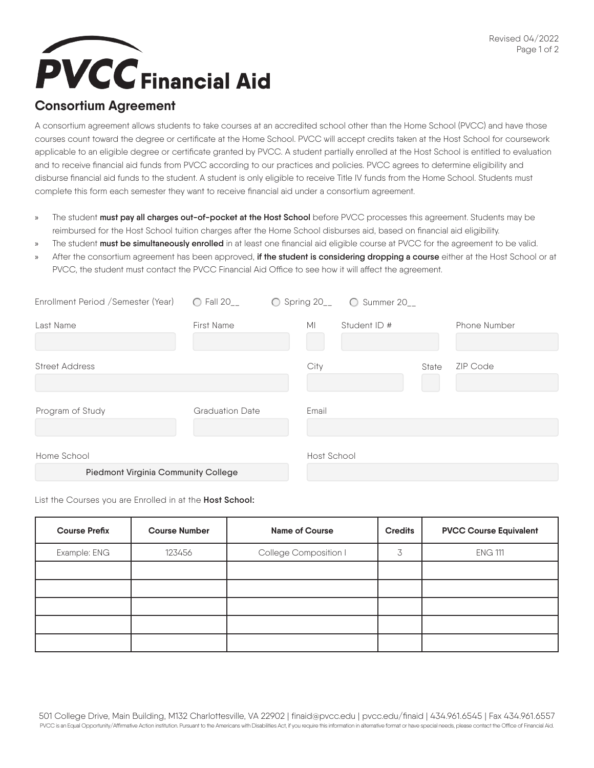## **PVCC** Financial Aid

## **Consortium Agreement**

A consortium agreement allows students to take courses at an accredited school other than the Home School (PVCC) and have those courses count toward the degree or certificate at the Home School. PVCC will accept credits taken at the Host School for coursework applicable to an eligible degree or certificate granted by PVCC. A student partially enrolled at the Host School is entitled to evaluation and to receive financial aid funds from PVCC according to our practices and policies. PVCC agrees to determine eligibility and disburse financial aid funds to the student. A student is only eligible to receive Title IV funds from the Home School. Students must complete this form each semester they want to receive financial aid under a consortium agreement.

- » The student **must pay all charges out-of-pocket at the Host School** before PVCC processes this agreement. Students may be reimbursed for the Host School tuition charges after the Home School disburses aid, based on financial aid eligibility.
- » The student **must be simultaneously enrolled** in at least one financial aid eligible course at PVCC for the agreement to be valid.
- » After the consortium agreement has been approved, **if the student is considering dropping a course** either at the Host School or at PVCC, the student must contact the PVCC Financial Aid Office to see how it will affect the agreement.

| Enrollment Period / Semester (Year)                       | $O$ Fall 20_           | $O$ Spring 20_<br>○ Summer 20 |       |                     |
|-----------------------------------------------------------|------------------------|-------------------------------|-------|---------------------|
| Last Name                                                 | First Name             | MI<br>Student ID #            |       | <b>Phone Number</b> |
| Street Address                                            |                        | City                          | State | <b>ZIP Code</b>     |
| Program of Study                                          | <b>Graduation Date</b> | Email                         |       |                     |
| Home School<br><b>Piedmont Virginia Community College</b> |                        | Host School                   |       |                     |

List the Courses you are Enrolled in at the **Host School:**

| <b>Course Prefix</b> | <b>Course Number</b> | <b>Name of Course</b> | <b>Credits</b> | <b>PVCC Course Equivalent</b> |
|----------------------|----------------------|-----------------------|----------------|-------------------------------|
| Example: ENG         | 123456               | College Composition I |                | <b>ENG 111</b>                |
|                      |                      |                       |                |                               |
|                      |                      |                       |                |                               |
|                      |                      |                       |                |                               |
|                      |                      |                       |                |                               |
|                      |                      |                       |                |                               |